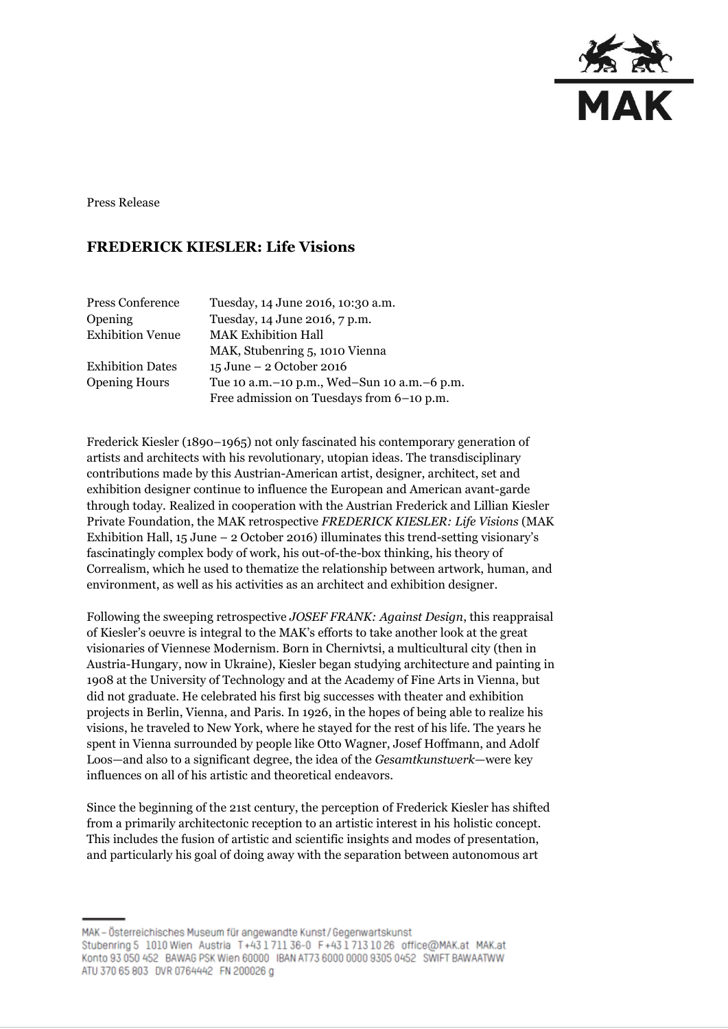

Press Release

# **FREDERICK KIESLER: Life Visions**

| Press Conference        | Tuesday, 14 June 2016, 10:30 a.m.               |
|-------------------------|-------------------------------------------------|
| Opening                 | Tuesday, 14 June 2016, 7 p.m.                   |
| <b>Exhibition Venue</b> | <b>MAK Exhibition Hall</b>                      |
|                         | MAK, Stubenring 5, 1010 Vienna                  |
| <b>Exhibition Dates</b> | $15 \text{ June} - 2 \text{ October } 2016$     |
| <b>Opening Hours</b>    | Tue 10 a.m. – 10 p.m., Wed–Sun 10 a.m. – 6 p.m. |
|                         | Free admission on Tuesdays from 6-10 p.m.       |

Frederick Kiesler (1890–1965) not only fascinated his contemporary generation of artists and architects with his revolutionary, utopian ideas. The transdisciplinary contributions made by this Austrian-American artist, designer, architect, set and exhibition designer continue to influence the European and American avant-garde through today. Realized in cooperation with the Austrian Frederick and Lillian Kiesler Private Foundation, the MAK retrospective *FREDERICK KIESLER: Life Visions* (MAK Exhibition Hall, 15 June – 2 October 2016) illuminates this trend-setting visionary's fascinatingly complex body of work, his out-of-the-box thinking, his theory of Correalism, which he used to thematize the relationship between artwork, human, and environment, as well as his activities as an architect and exhibition designer.

Following the sweeping retrospective *JOSEF FRANK: Against Design*, this reappraisal of Kiesler's oeuvre is integral to the MAK's efforts to take another look at the great visionaries of Viennese Modernism. Born in Chernivtsi, a multicultural city (then in Austria-Hungary, now in Ukraine), Kiesler began studying architecture and painting in 1908 at the University of Technology and at the Academy of Fine Arts in Vienna, but did not graduate. He celebrated his first big successes with theater and exhibition projects in Berlin, Vienna, and Paris. In 1926, in the hopes of being able to realize his visions, he traveled to New York, where he stayed for the rest of his life. The years he spent in Vienna surrounded by people like Otto Wagner, Josef Hoffmann, and Adolf Loos—and also to a significant degree, the idea of the *Gesamtkunstwerk*—were key influences on all of his artistic and theoretical endeavors.

Since the beginning of the 21st century, the perception of Frederick Kiesler has shifted from a primarily architectonic reception to an artistic interest in his holistic concept. This includes the fusion of artistic and scientific insights and modes of presentation, and particularly his goal of doing away with the separation between autonomous art

MAK-Österreichisches Museum für angewandte Kunst/Gegenwartskunst Stubenring 5 1010 Wien Austria T+43171136-0 F+4317131026 office@MAK.at MAK.at Konto 93 050 452 BAWAG PSK Wien 60000 IBAN AT73 6000 0000 9305 0452 SWIFT BAWAATWW ATU 370 65 803 DVR 0764442 FN 200026 g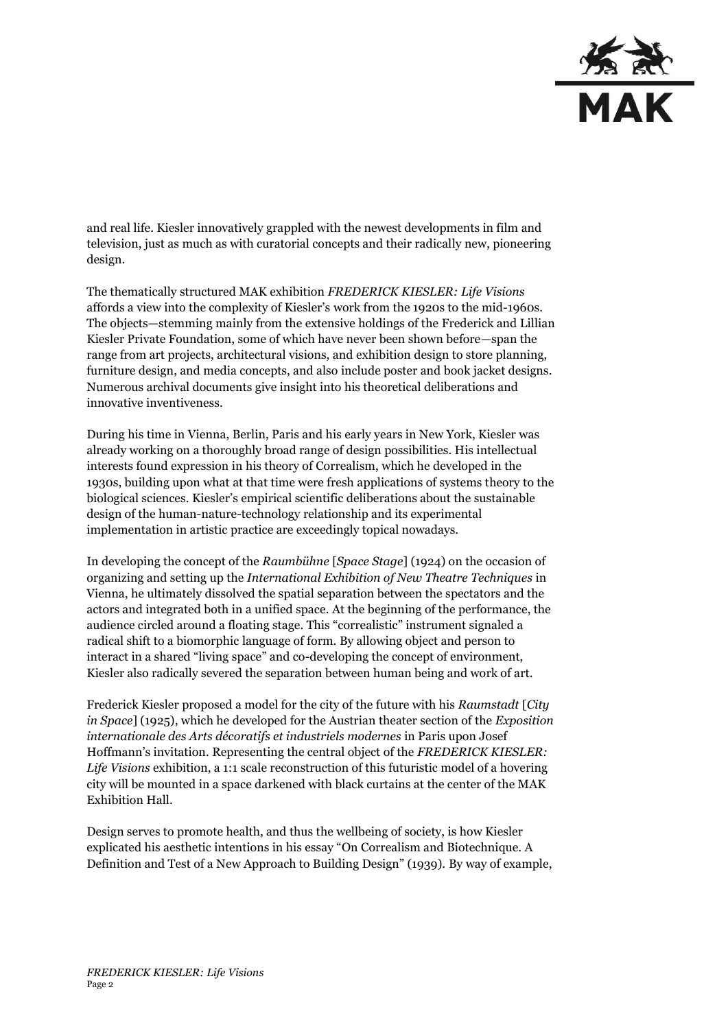

and real life. Kiesler innovatively grappled with the newest developments in film and television, just as much as with curatorial concepts and their radically new, pioneering design.

The thematically structured MAK exhibition *FREDERICK KIESLER: Life Visions* affords a view into the complexity of Kiesler's work from the 1920s to the mid-1960s. The objects—stemming mainly from the extensive holdings of the Frederick and Lillian Kiesler Private Foundation, some of which have never been shown before—span the range from art projects, architectural visions, and exhibition design to store planning, furniture design, and media concepts, and also include poster and book jacket designs. Numerous archival documents give insight into his theoretical deliberations and innovative inventiveness.

During his time in Vienna, Berlin, Paris and his early years in New York, Kiesler was already working on a thoroughly broad range of design possibilities. His intellectual interests found expression in his theory of Correalism, which he developed in the 1930s, building upon what at that time were fresh applications of systems theory to the biological sciences. Kiesler's empirical scientific deliberations about the sustainable design of the human-nature-technology relationship and its experimental implementation in artistic practice are exceedingly topical nowadays.

In developing the concept of the *Raumbühne* [*Space Stage*] (1924) on the occasion of organizing and setting up the *International Exhibition of New Theatre Techniques* in Vienna, he ultimately dissolved the spatial separation between the spectators and the actors and integrated both in a unified space. At the beginning of the performance, the audience circled around a floating stage. This "correalistic" instrument signaled a radical shift to a biomorphic language of form. By allowing object and person to interact in a shared "living space" and co-developing the concept of environment, Kiesler also radically severed the separation between human being and work of art.

Frederick Kiesler proposed a model for the city of the future with his *Raumstadt* [*City in Space*] (1925), which he developed for the Austrian theater section of the *Exposition internationale des Arts décoratifs et industriels modernes* in Paris upon Josef Hoffmann's invitation. Representing the central object of the *FREDERICK KIESLER: Life Visions* exhibition, a 1:1 scale reconstruction of this futuristic model of a hovering city will be mounted in a space darkened with black curtains at the center of the MAK Exhibition Hall.

Design serves to promote health, and thus the wellbeing of society, is how Kiesler explicated his aesthetic intentions in his essay "On Correalism and Biotechnique. A Definition and Test of a New Approach to Building Design" (1939). By way of example,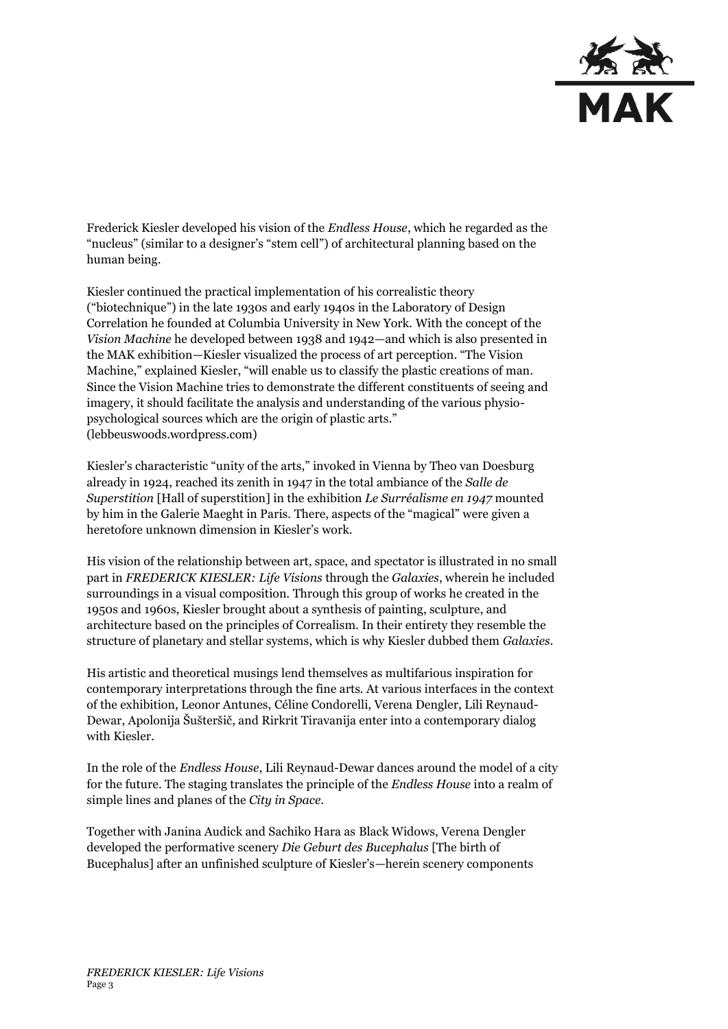

Frederick Kiesler developed his vision of the *Endless House*, which he regarded as the "nucleus" (similar to a designer's "stem cell") of architectural planning based on the human being.

Kiesler continued the practical implementation of his correalistic theory ("biotechnique") in the late 1930s and early 1940s in the Laboratory of Design Correlation he founded at Columbia University in New York. With the concept of the *Vision Machine* he developed between 1938 and 1942—and which is also presented in the MAK exhibition—Kiesler visualized the process of art perception. "The Vision Machine," explained Kiesler, "will enable us to classify the plastic creations of man. Since the Vision Machine tries to demonstrate the different constituents of seeing and imagery, it should facilitate the analysis and understanding of the various physiopsychological sources which are the origin of plastic arts." (lebbeuswoods.wordpress.com)

Kiesler's characteristic "unity of the arts," invoked in Vienna by Theo van Doesburg already in 1924, reached its zenith in 1947 in the total ambiance of the *Salle de Superstition* [Hall of superstition] in the exhibition *Le Surréalisme en 1947* mounted by him in the Galerie Maeght in Paris. There, aspects of the "magical" were given a heretofore unknown dimension in Kiesler's work.

His vision of the relationship between art, space, and spectator is illustrated in no small part in *FREDERICK KIESLER: Life Visions* through the *Galaxies*, wherein he included surroundings in a visual composition. Through this group of works he created in the 1950s and 1960s, Kiesler brought about a synthesis of painting, sculpture, and architecture based on the principles of Correalism. In their entirety they resemble the structure of planetary and stellar systems, which is why Kiesler dubbed them *Galaxies*.

His artistic and theoretical musings lend themselves as multifarious inspiration for contemporary interpretations through the fine arts. At various interfaces in the context of the exhibition, Leonor Antunes, Céline Condorelli, Verena Dengler, Lili Reynaud-Dewar, Apolonija Šušteršič, and Rirkrit Tiravanija enter into a contemporary dialog with Kiesler.

In the role of the *Endless House*, Lili Reynaud-Dewar dances around the model of a city for the future. The staging translates the principle of the *Endless House* into a realm of simple lines and planes of the *City in Space*.

Together with Janina Audick and Sachiko Hara as Black Widows, Verena Dengler developed the performative scenery *Die Geburt des Bucephalus* [The birth of Bucephalus] after an unfinished sculpture of Kiesler's—herein scenery components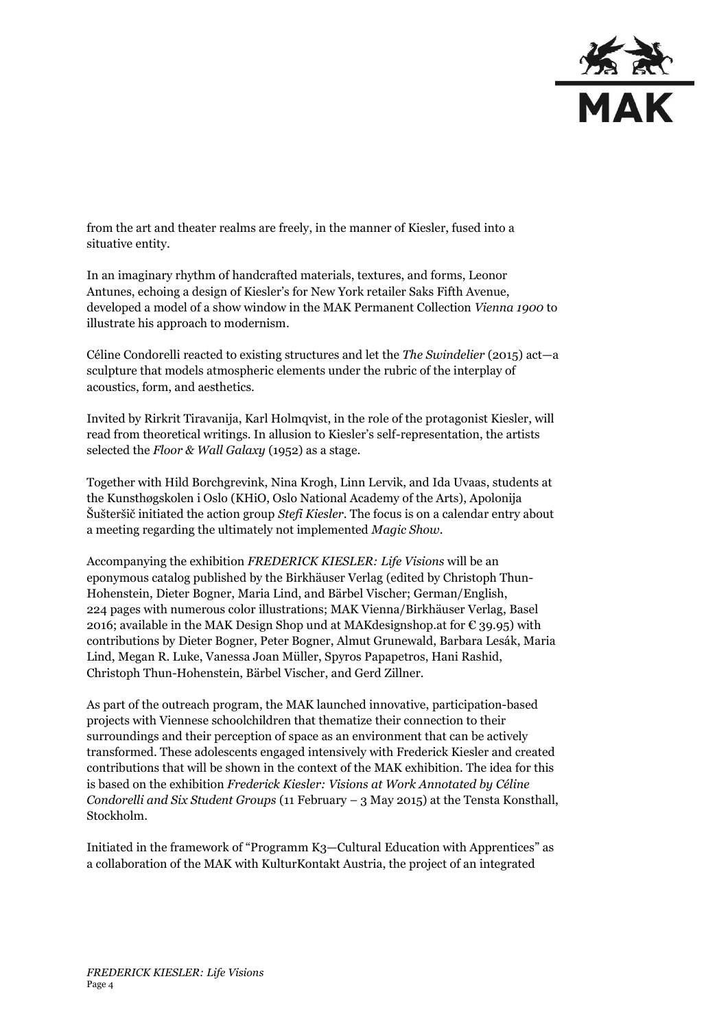

from the art and theater realms are freely, in the manner of Kiesler, fused into a situative entity.

In an imaginary rhythm of handcrafted materials, textures, and forms, Leonor Antunes, echoing a design of Kiesler's for New York retailer Saks Fifth Avenue, developed a model of a show window in the MAK Permanent Collection *Vienna 1900* to illustrate his approach to modernism.

Céline Condorelli reacted to existing structures and let the *The Swindelier* (2015) act—a sculpture that models atmospheric elements under the rubric of the interplay of acoustics, form, and aesthetics.

Invited by Rirkrit Tiravanija, Karl Holmqvist, in the role of the protagonist Kiesler, will read from theoretical writings. In allusion to Kiesler's self-representation, the artists selected the *Floor & Wall Galaxy* (1952) as a stage.

Together with Hild Borchgrevink, Nina Krogh, Linn Lervik, and Ida Uvaas, students at the Kunsthøgskolen i Oslo (KHiO, Oslo National Academy of the Arts), Apolonija Šušteršič initiated the action group *Stefi Kiesler*. The focus is on a calendar entry about a meeting regarding the ultimately not implemented *Magic Show*.

Accompanying the exhibition *FREDERICK KIESLER: Life Visions* will be an eponymous catalog published by the Birkhäuser Verlag (edited by Christoph Thun-Hohenstein, Dieter Bogner, Maria Lind, and Bärbel Vischer; German/English, 224 pages with numerous color illustrations; MAK Vienna/Birkhäuser Verlag, Basel 2016; available in the MAK Design Shop und at MAK designshop. at for  $\epsilon$  39.95) with contributions by Dieter Bogner, Peter Bogner, Almut Grunewald, Barbara Lesák, Maria Lind, Megan R. Luke, Vanessa Joan Müller, Spyros Papapetros, Hani Rashid, Christoph Thun-Hohenstein, Bärbel Vischer, and Gerd Zillner.

As part of the outreach program, the MAK launched innovative, participation-based projects with Viennese schoolchildren that thematize their connection to their surroundings and their perception of space as an environment that can be actively transformed. These adolescents engaged intensively with Frederick Kiesler and created contributions that will be shown in the context of the MAK exhibition. The idea for this is based on the exhibition *Frederick Kiesler: Visions at Work Annotated by Céline Condorelli and Six Student Groups* (11 February – 3 May 2015) at the Tensta Konsthall, Stockholm.

Initiated in the framework of "Programm K3—Cultural Education with Apprentices" as a collaboration of the MAK with KulturKontakt Austria, the project of an integrated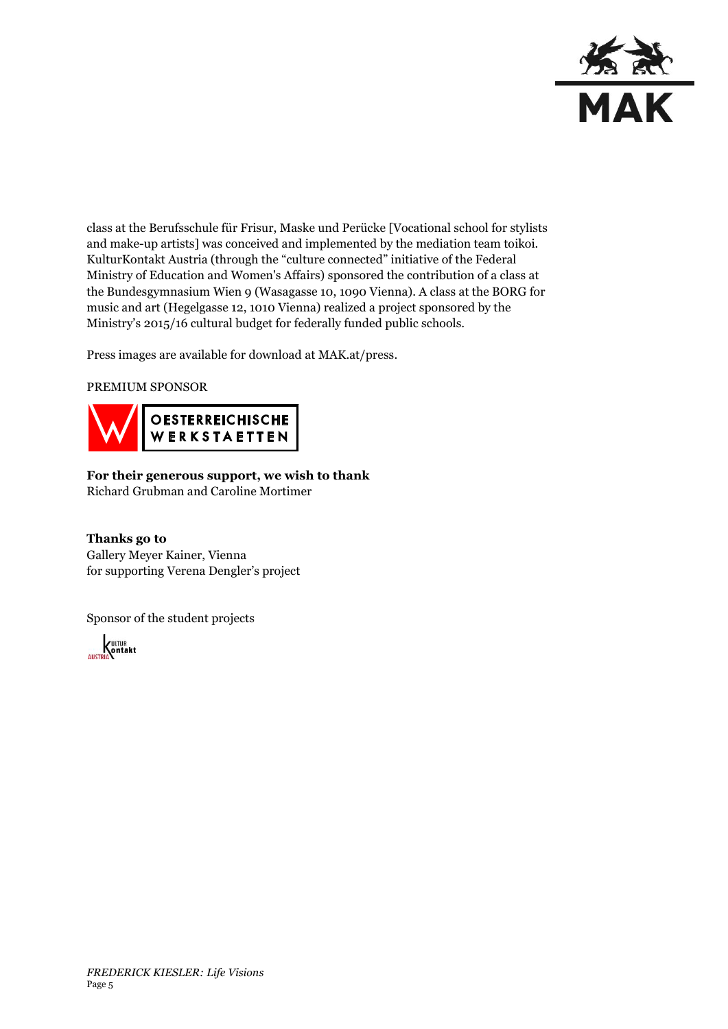

class at the Berufsschule für Frisur, Maske und Perücke [Vocational school for stylists and make-up artists] was conceived and implemented by the mediation team toikoi. KulturKontakt Austria (through the "culture connected" initiative of the Federal Ministry of Education and Women's Affairs) sponsored the contribution of a class at the Bundesgymnasium Wien 9 (Wasagasse 10, 1090 Vienna). A class at the BORG for music and art (Hegelgasse 12, 1010 Vienna) realized a project sponsored by the Ministry's 2015/16 cultural budget for federally funded public schools.

Press images are available for download at MAK.at/press.

PREMIUM SPONSOR



**For their generous support, we wish to thank** Richard Grubman and Caroline Mortimer

**Thanks go to** Gallery Meyer Kainer, Vienna for supporting Verena Dengler's project

Sponsor of the student projects

**AUSTRIA** VULTUR<br>AUSTRIA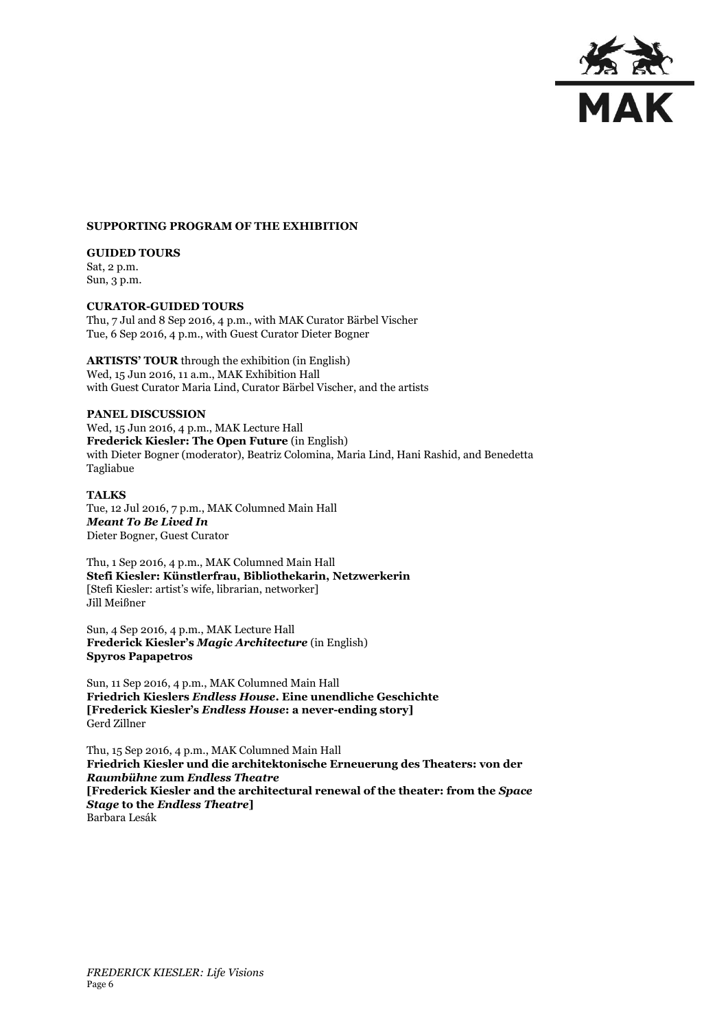

## **SUPPORTING PROGRAM OF THE EXHIBITION**

### **GUIDED TOURS**

Sat, 2 p.m. Sun, 3 p.m.

#### **CURATOR-GUIDED TOURS**

Thu, 7 Jul and 8 Sep 2016, 4 p.m., with MAK Curator Bärbel Vischer Tue, 6 Sep 2016, 4 p.m., with Guest Curator Dieter Bogner

**ARTISTS' TOUR** through the exhibition (in English) Wed, 15 Jun 2016, 11 a.m., MAK Exhibition Hall with Guest Curator Maria Lind, Curator Bärbel Vischer, and the artists

## **PANEL DISCUSSION**  Wed, 15 Jun 2016, 4 p.m., MAK Lecture Hall **Frederick Kiesler: The Open Future** (in English) with Dieter Bogner (moderator), Beatriz Colomina, Maria Lind, Hani Rashid, and Benedetta Tagliabue

#### **TALKS**

Tue, 12 Jul 2016, 7 p.m., MAK Columned Main Hall *Meant To Be Lived In* Dieter Bogner, Guest Curator

Thu, 1 Sep 2016, 4 p.m., MAK Columned Main Hall **Stefi Kiesler: Künstlerfrau, Bibliothekarin, Netzwerkerin** [Stefi Kiesler: artist's wife, librarian, networker] Jill Meißner

Sun, 4 Sep 2016, 4 p.m., MAK Lecture Hall **Frederick Kiesler's** *Magic Architecture* (in English) **Spyros Papapetros**

Sun, 11 Sep 2016, 4 p.m., MAK Columned Main Hall **Friedrich Kieslers** *Endless House***. Eine unendliche Geschichte [Frederick Kiesler's** *Endless House***: a never-ending story]** Gerd Zillner

Thu, 15 Sep 2016, 4 p.m., MAK Columned Main Hall **Friedrich Kiesler und die architektonische Erneuerung des Theaters: von der**  *Raumbühne* **zum** *Endless Theatre*  **[Frederick Kiesler and the architectural renewal of the theater: from the** *Space Stage* **to the** *Endless Theatre***]** Barbara Lesák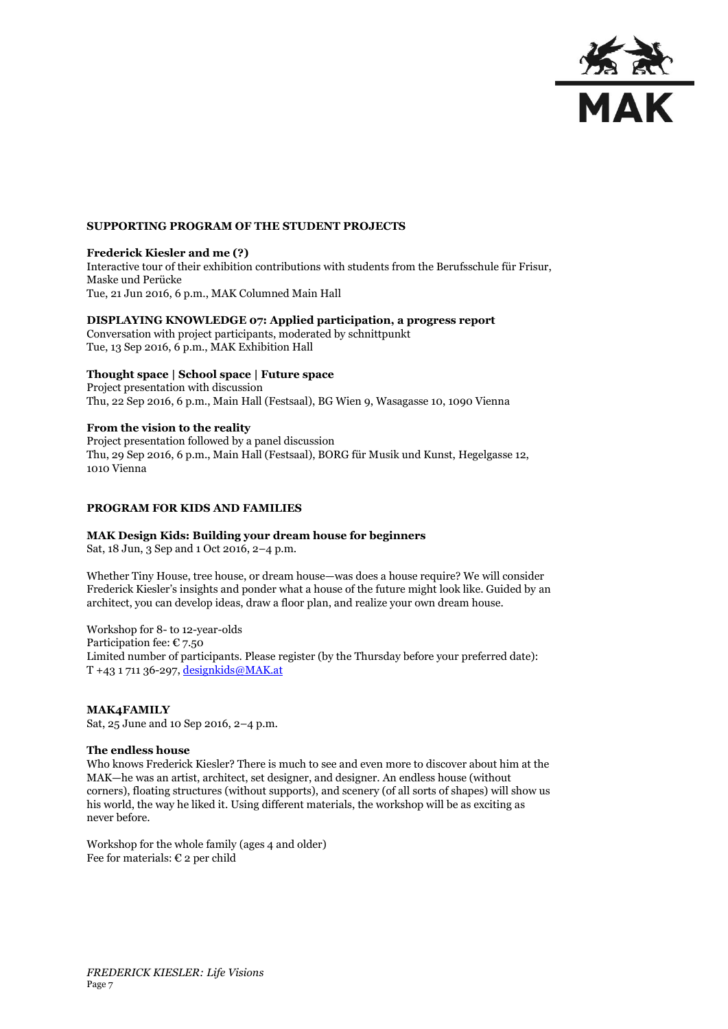

## **SUPPORTING PROGRAM OF THE STUDENT PROJECTS**

#### **Frederick Kiesler and me (?)**

Interactive tour of their exhibition contributions with students from the Berufsschule für Frisur, Maske und Perücke Tue, 21 Jun 2016, 6 p.m., MAK Columned Main Hall

## **DISPLAYING KNOWLEDGE 07: Applied participation, a progress report**

Conversation with project participants, moderated by schnittpunkt Tue, 13 Sep 2016, 6 p.m., MAK Exhibition Hall

## **Thought space | School space | Future space**

Project presentation with discussion Thu, 22 Sep 2016, 6 p.m., Main Hall (Festsaal), BG Wien 9, Wasagasse 10, 1090 Vienna

#### **From the vision to the reality**

Project presentation followed by a panel discussion Thu, 29 Sep 2016, 6 p.m., Main Hall (Festsaal), BORG für Musik und Kunst, Hegelgasse 12, 1010 Vienna

### **PROGRAM FOR KIDS AND FAMILIES**

#### **MAK Design Kids: Building your dream house for beginners**

Sat, 18 Jun, 3 Sep and 1 Oct 2016, 2–4 p.m.

Whether Tiny House, tree house, or dream house—was does a house require? We will consider Frederick Kiesler's insights and ponder what a house of the future might look like. Guided by an architect, you can develop ideas, draw a floor plan, and realize your own dream house.

Workshop for 8- to 12-year-olds Participation fee:  $\epsilon$  7.50 Limited number of participants. Please register (by the Thursday before your preferred date): T +43 1 711 36-297, [designkids@MAK.at](mailto:designkids@MAK.at)

#### **MAK4FAMILY**

Sat, 25 June and 10 Sep 2016, 2–4 p.m.

#### **The endless house**

Who knows Frederick Kiesler? There is much to see and even more to discover about him at the MAK—he was an artist, architect, set designer, and designer. An endless house (without corners), floating structures (without supports), and scenery (of all sorts of shapes) will show us his world, the way he liked it. Using different materials, the workshop will be as exciting as never before.

Workshop for the whole family (ages 4 and older) Fee for materials: € 2 per child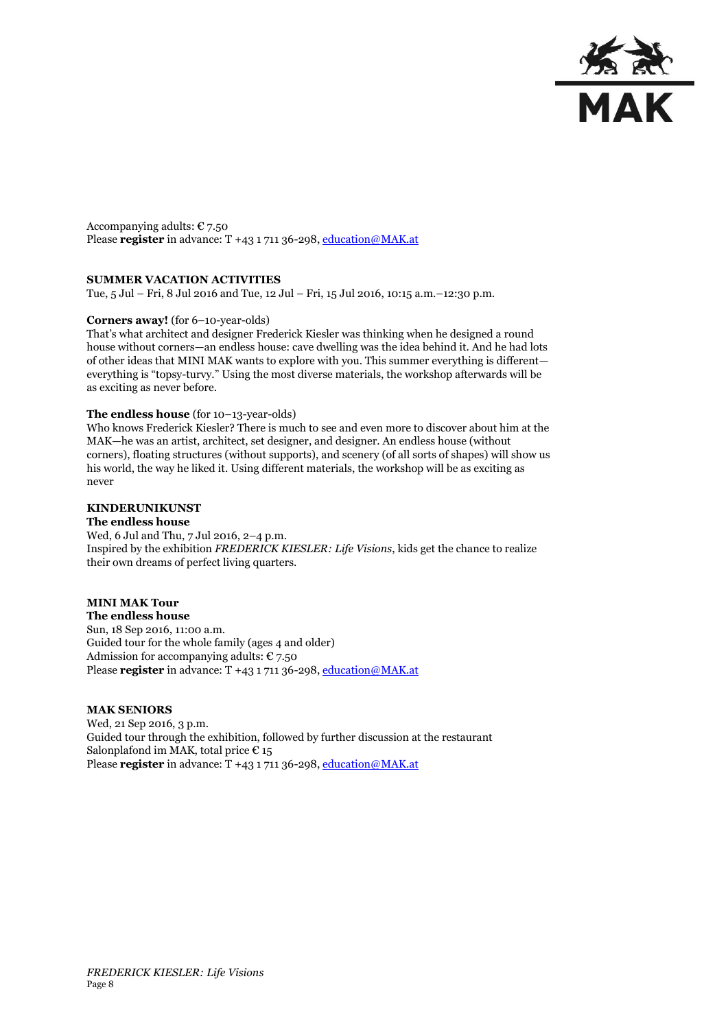

Accompanying adults:  $\epsilon$  7.50 Please **register** in advance: T +43 1 711 36-298, [education@MAK.at](mailto:education@MAK.at)

## **SUMMER VACATION ACTIVITIES**

Tue, 5 Jul – Fri, 8 Jul 2016 and Tue, 12 Jul – Fri, 15 Jul 2016, 10:15 a.m.–12:30 p.m.

## **Corners away!** (for 6–10-year-olds)

That's what architect and designer Frederick Kiesler was thinking when he designed a round house without corners—an endless house: cave dwelling was the idea behind it. And he had lots of other ideas that MINI MAK wants to explore with you. This summer everything is different everything is "topsy-turvy." Using the most diverse materials, the workshop afterwards will be as exciting as never before.

#### **The endless house** (for 10–13-year-olds)

Who knows Frederick Kiesler? There is much to see and even more to discover about him at the MAK—he was an artist, architect, set designer, and designer. An endless house (without corners), floating structures (without supports), and scenery (of all sorts of shapes) will show us his world, the way he liked it. Using different materials, the workshop will be as exciting as never

### **KINDERUNIKUNST**

#### **The endless house**

Wed, 6 Jul and Thu, 7 Jul 2016, 2–4 p.m. Inspired by the exhibition *FREDERICK KIESLER: Life Visions*, kids get the chance to realize their own dreams of perfect living quarters.

# **MINI MAK Tour**

**The endless house** Sun, 18 Sep 2016, 11:00 a.m. Guided tour for the whole family (ages 4 and older) Admission for accompanying adults:  $\epsilon$  7.50 Please **register** in advance: T +43 1 711 36-298, [education@MAK.at](mailto:education@MAK.at)

#### **MAK SENIORS**

Wed, 21 Sep 2016, 3 p.m. Guided tour through the exhibition, followed by further discussion at the restaurant Salonplafond im MAK, total price  $\epsilon$  15 Please **register** in advance: T +43 1 711 36-298, [education@MAK.at](mailto:education@MAK.at)